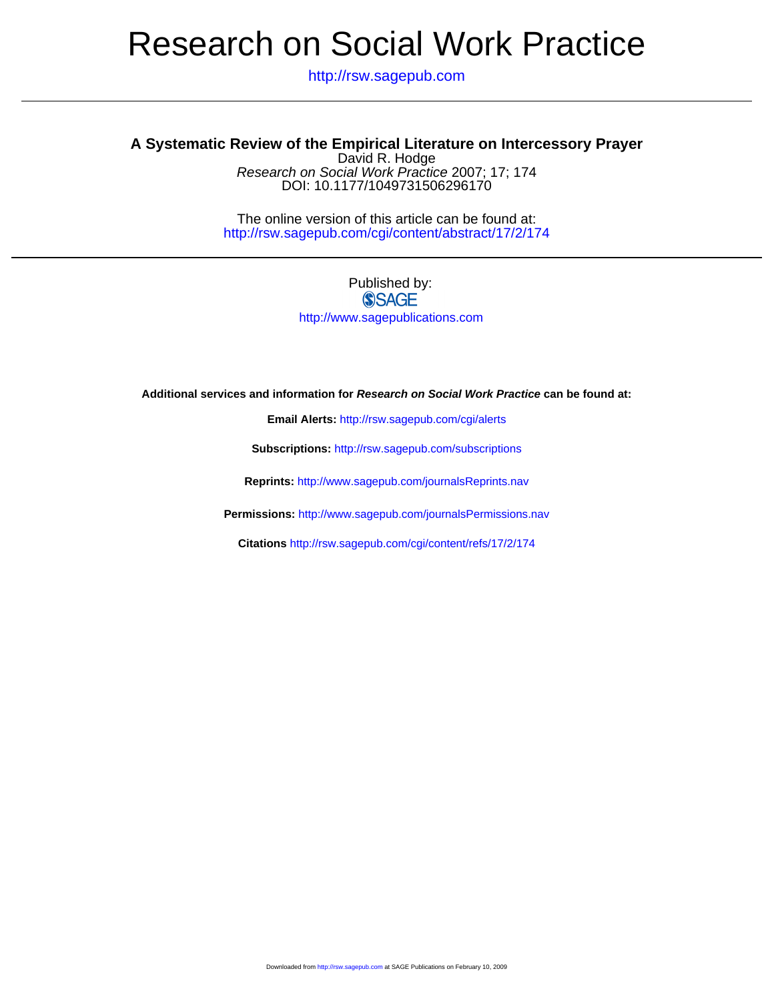# Research on Social Work Practice

http://rsw.sagepub.com

# **A Systematic Review of the Empirical Literature on Intercessory Prayer**

DOI: 10.1177/1049731506296170 Research on Social Work Practice 2007; 17; 174 David R. Hodge

http://rsw.sagepub.com/cgi/content/abstract/17/2/174 The online version of this article can be found at:

# Published by: **SSAGE** http://www.sagepublications.com

**Additional services and information for Research on Social Work Practice can be found at:**

**Email Alerts:** <http://rsw.sagepub.com/cgi/alerts>

**Subscriptions:** <http://rsw.sagepub.com/subscriptions>

**Reprints:** <http://www.sagepub.com/journalsReprints.nav>

**Permissions:** <http://www.sagepub.com/journalsPermissions.nav>

**Citations** <http://rsw.sagepub.com/cgi/content/refs/17/2/174>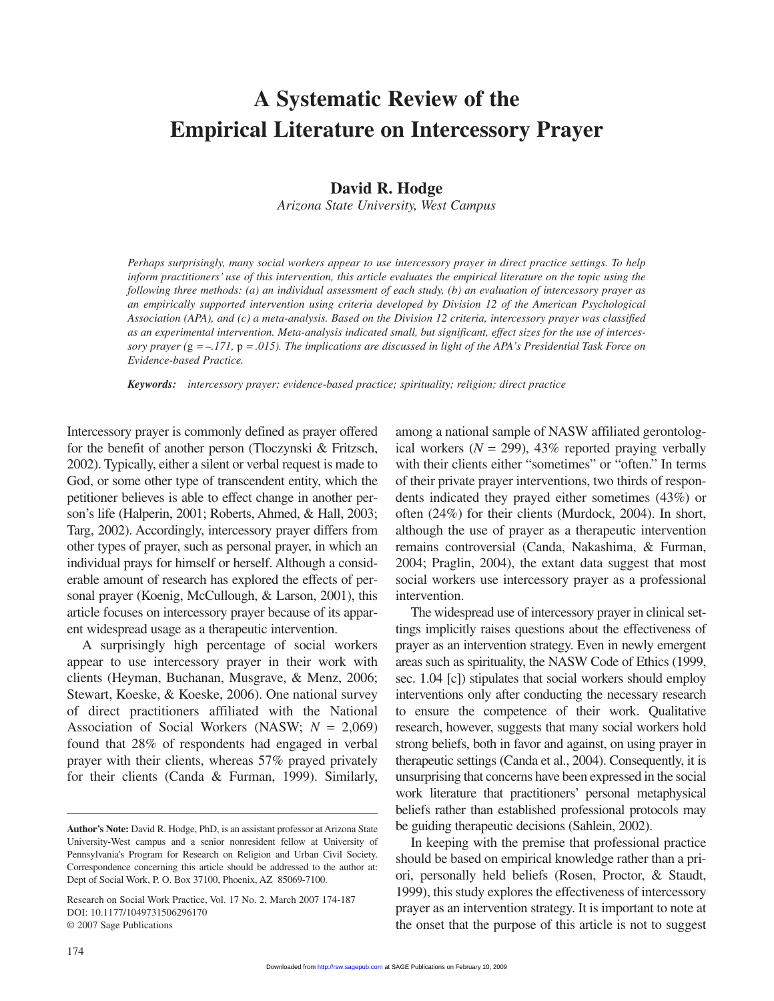# **A Systematic Review of the Empirical Literature on Intercessory Prayer**

# **David R. Hodge**

*Arizona State University, West Campus*

*Perhaps surprisingly, many social workers appear to use intercessory prayer in direct practice settings. To help inform practitioners' use of this intervention, this article evaluates the empirical literature on the topic using the following three methods: (a) an individual assessment of each study, (b) an evaluation of intercessory prayer as an empirically supported intervention using criteria developed by Division 12 of the American Psychological Association (APA), and (c) a meta-analysis. Based on the Division 12 criteria, intercessory prayer was classified as an experimental intervention. Meta-analysis indicated small, but significant, effect sizes for the use of intercessory prayer (*g <sup>=</sup> *–.171,* p <sup>=</sup> *.015). The implications are discussed in light of the APA's Presidential Task Force on Evidence-based Practice.*

*Keywords: intercessory prayer; evidence-based practice; spirituality; religion; direct practice*

Intercessory prayer is commonly defined as prayer offered for the benefit of another person (Tloczynski & Fritzsch, 2002). Typically, either a silent or verbal request is made to God, or some other type of transcendent entity, which the petitioner believes is able to effect change in another person's life (Halperin, 2001; Roberts, Ahmed, & Hall, 2003; Targ, 2002). Accordingly, intercessory prayer differs from other types of prayer, such as personal prayer, in which an individual prays for himself or herself. Although a considerable amount of research has explored the effects of personal prayer (Koenig, McCullough, & Larson, 2001), this article focuses on intercessory prayer because of its apparent widespread usage as a therapeutic intervention.

A surprisingly high percentage of social workers appear to use intercessory prayer in their work with clients (Heyman, Buchanan, Musgrave, & Menz, 2006; Stewart, Koeske, & Koeske, 2006). One national survey of direct practitioners affiliated with the National Association of Social Workers (NASW; *N* = 2,069) found that 28% of respondents had engaged in verbal prayer with their clients, whereas 57% prayed privately for their clients (Canda & Furman, 1999). Similarly,

among a national sample of NASW affiliated gerontological workers  $(N = 299)$ , 43% reported praying verbally with their clients either "sometimes" or "often." In terms of their private prayer interventions, two thirds of respondents indicated they prayed either sometimes (43%) or often (24%) for their clients (Murdock, 2004). In short, although the use of prayer as a therapeutic intervention remains controversial (Canda, Nakashima, & Furman, 2004; Praglin, 2004), the extant data suggest that most social workers use intercessory prayer as a professional intervention.

The widespread use of intercessory prayer in clinical settings implicitly raises questions about the effectiveness of prayer as an intervention strategy. Even in newly emergent areas such as spirituality, the NASW Code of Ethics (1999, sec. 1.04 [c]) stipulates that social workers should employ interventions only after conducting the necessary research to ensure the competence of their work. Qualitative research, however, suggests that many social workers hold strong beliefs, both in favor and against, on using prayer in therapeutic settings (Canda et al., 2004). Consequently, it is unsurprising that concerns have been expressed in the social work literature that practitioners' personal metaphysical beliefs rather than established professional protocols may be guiding therapeutic decisions (Sahlein, 2002).

In keeping with the premise that professional practice should be based on empirical knowledge rather than a priori, personally held beliefs (Rosen, Proctor, & Staudt, 1999), this study explores the effectiveness of intercessory prayer as an intervention strategy. It is important to note at the onset that the purpose of this article is not to suggest

**Author's Note:** David R. Hodge, PhD, is an assistant professor at Arizona State University-West campus and a senior nonresident fellow at University of Pennsylvania's Program for Research on Religion and Urban Civil Society. Correspondence concerning this article should be addressed to the author at: Dept of Social Work, P. O. Box 37100, Phoenix, AZ 85069-7100.

Research on Social Work Practice, Vol. 17 No. 2, March 2007 174-187 DOI: 10.1177/1049731506296170 © 2007 Sage Publications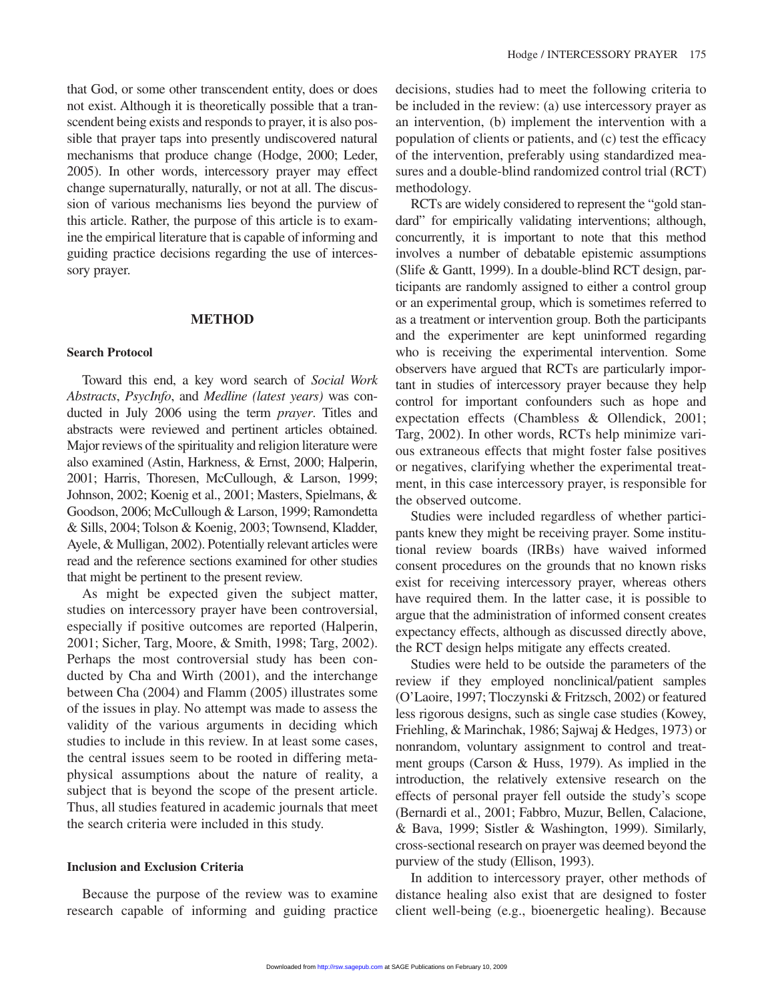that God, or some other transcendent entity, does or does not exist. Although it is theoretically possible that a transcendent being exists and responds to prayer, it is also possible that prayer taps into presently undiscovered natural mechanisms that produce change (Hodge, 2000; Leder, 2005). In other words, intercessory prayer may effect change supernaturally, naturally, or not at all. The discussion of various mechanisms lies beyond the purview of this article. Rather, the purpose of this article is to examine the empirical literature that is capable of informing and guiding practice decisions regarding the use of intercessory prayer.

# **METHOD**

#### **Search Protocol**

Toward this end, a key word search of *Social Work Abstracts*, *PsycInfo*, and *Medline (latest years)* was conducted in July 2006 using the term *prayer*. Titles and abstracts were reviewed and pertinent articles obtained. Major reviews of the spirituality and religion literature were also examined (Astin, Harkness, & Ernst, 2000; Halperin, 2001; Harris, Thoresen, McCullough, & Larson, 1999; Johnson, 2002; Koenig et al., 2001; Masters, Spielmans, & Goodson, 2006; McCullough & Larson, 1999; Ramondetta & Sills, 2004; Tolson & Koenig, 2003; Townsend, Kladder, Ayele, & Mulligan, 2002). Potentially relevant articles were read and the reference sections examined for other studies that might be pertinent to the present review.

As might be expected given the subject matter, studies on intercessory prayer have been controversial, especially if positive outcomes are reported (Halperin, 2001; Sicher, Targ, Moore, & Smith, 1998; Targ, 2002). Perhaps the most controversial study has been conducted by Cha and Wirth (2001), and the interchange between Cha (2004) and Flamm (2005) illustrates some of the issues in play. No attempt was made to assess the validity of the various arguments in deciding which studies to include in this review. In at least some cases, the central issues seem to be rooted in differing metaphysical assumptions about the nature of reality, a subject that is beyond the scope of the present article. Thus, all studies featured in academic journals that meet the search criteria were included in this study.

#### **Inclusion and Exclusion Criteria**

Because the purpose of the review was to examine research capable of informing and guiding practice decisions, studies had to meet the following criteria to be included in the review: (a) use intercessory prayer as an intervention, (b) implement the intervention with a population of clients or patients, and (c) test the efficacy of the intervention, preferably using standardized measures and a double-blind randomized control trial (RCT) methodology.

RCTs are widely considered to represent the "gold standard" for empirically validating interventions; although, concurrently, it is important to note that this method involves a number of debatable epistemic assumptions (Slife & Gantt, 1999). In a double-blind RCT design, participants are randomly assigned to either a control group or an experimental group, which is sometimes referred to as a treatment or intervention group. Both the participants and the experimenter are kept uninformed regarding who is receiving the experimental intervention. Some observers have argued that RCTs are particularly important in studies of intercessory prayer because they help control for important confounders such as hope and expectation effects (Chambless & Ollendick, 2001; Targ, 2002). In other words, RCTs help minimize various extraneous effects that might foster false positives or negatives, clarifying whether the experimental treatment, in this case intercessory prayer, is responsible for the observed outcome.

Studies were included regardless of whether participants knew they might be receiving prayer. Some institutional review boards (IRBs) have waived informed consent procedures on the grounds that no known risks exist for receiving intercessory prayer, whereas others have required them. In the latter case, it is possible to argue that the administration of informed consent creates expectancy effects, although as discussed directly above, the RCT design helps mitigate any effects created.

Studies were held to be outside the parameters of the review if they employed nonclinical/patient samples (O'Laoire, 1997; Tloczynski & Fritzsch, 2002) or featured less rigorous designs, such as single case studies (Kowey, Friehling, & Marinchak, 1986; Sajwaj & Hedges, 1973) or nonrandom, voluntary assignment to control and treatment groups (Carson & Huss, 1979). As implied in the introduction, the relatively extensive research on the effects of personal prayer fell outside the study's scope (Bernardi et al., 2001; Fabbro, Muzur, Bellen, Calacione, & Bava, 1999; Sistler & Washington, 1999). Similarly, cross-sectional research on prayer was deemed beyond the purview of the study (Ellison, 1993).

In addition to intercessory prayer, other methods of distance healing also exist that are designed to foster client well-being (e.g., bioenergetic healing). Because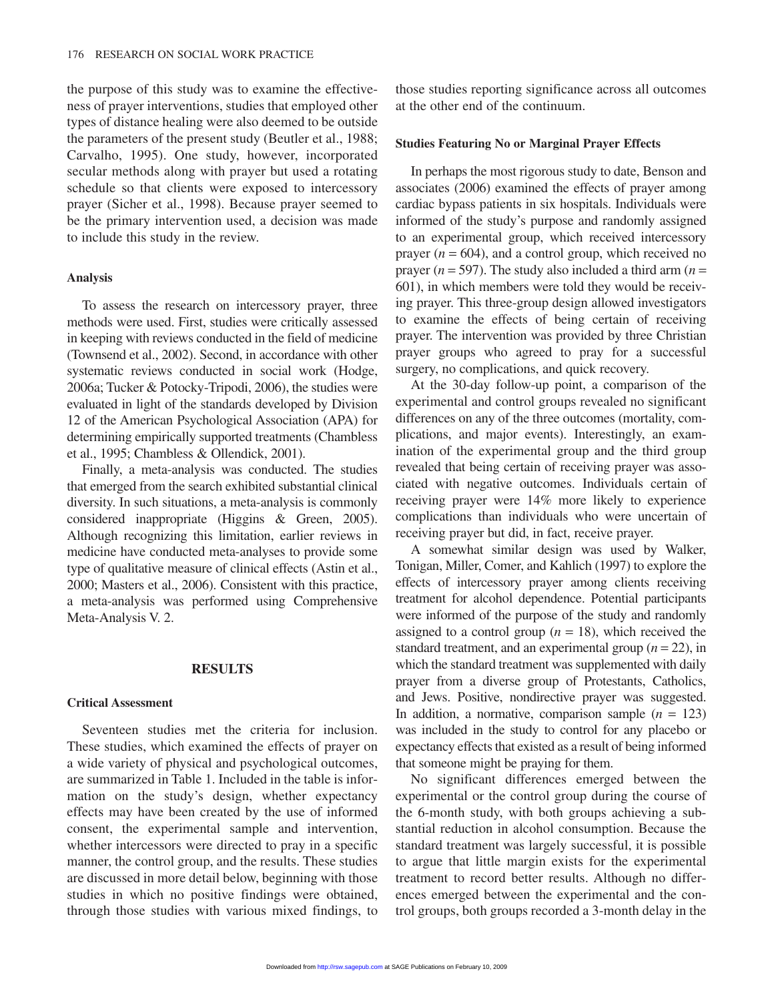the purpose of this study was to examine the effectiveness of prayer interventions, studies that employed other types of distance healing were also deemed to be outside the parameters of the present study (Beutler et al., 1988; Carvalho, 1995). One study, however, incorporated secular methods along with prayer but used a rotating schedule so that clients were exposed to intercessory prayer (Sicher et al., 1998). Because prayer seemed to be the primary intervention used, a decision was made to include this study in the review.

# **Analysis**

To assess the research on intercessory prayer, three methods were used. First, studies were critically assessed in keeping with reviews conducted in the field of medicine (Townsend et al., 2002). Second, in accordance with other systematic reviews conducted in social work (Hodge, 2006a; Tucker & Potocky-Tripodi, 2006), the studies were evaluated in light of the standards developed by Division 12 of the American Psychological Association (APA) for determining empirically supported treatments (Chambless et al., 1995; Chambless & Ollendick, 2001).

Finally, a meta-analysis was conducted. The studies that emerged from the search exhibited substantial clinical diversity. In such situations, a meta-analysis is commonly considered inappropriate (Higgins & Green, 2005). Although recognizing this limitation, earlier reviews in medicine have conducted meta-analyses to provide some type of qualitative measure of clinical effects (Astin et al., 2000; Masters et al., 2006). Consistent with this practice, a meta-analysis was performed using Comprehensive Meta-Analysis V. 2.

# **RESULTS**

## **Critical Assessment**

Seventeen studies met the criteria for inclusion. These studies, which examined the effects of prayer on a wide variety of physical and psychological outcomes, are summarized in Table 1. Included in the table is information on the study's design, whether expectancy effects may have been created by the use of informed consent, the experimental sample and intervention, whether intercessors were directed to pray in a specific manner, the control group, and the results. These studies are discussed in more detail below, beginning with those studies in which no positive findings were obtained, through those studies with various mixed findings, to

those studies reporting significance across all outcomes at the other end of the continuum.

# **Studies Featuring No or Marginal Prayer Effects**

In perhaps the most rigorous study to date, Benson and associates (2006) examined the effects of prayer among cardiac bypass patients in six hospitals. Individuals were informed of the study's purpose and randomly assigned to an experimental group, which received intercessory prayer  $(n = 604)$ , and a control group, which received no prayer ( $n = 597$ ). The study also included a third arm ( $n =$ 601), in which members were told they would be receiving prayer. This three-group design allowed investigators to examine the effects of being certain of receiving prayer. The intervention was provided by three Christian prayer groups who agreed to pray for a successful surgery, no complications, and quick recovery.

At the 30-day follow-up point, a comparison of the experimental and control groups revealed no significant differences on any of the three outcomes (mortality, complications, and major events). Interestingly, an examination of the experimental group and the third group revealed that being certain of receiving prayer was associated with negative outcomes. Individuals certain of receiving prayer were 14% more likely to experience complications than individuals who were uncertain of receiving prayer but did, in fact, receive prayer.

A somewhat similar design was used by Walker, Tonigan, Miller, Comer, and Kahlich (1997) to explore the effects of intercessory prayer among clients receiving treatment for alcohol dependence. Potential participants were informed of the purpose of the study and randomly assigned to a control group ( $n = 18$ ), which received the standard treatment, and an experimental group  $(n = 22)$ , in which the standard treatment was supplemented with daily prayer from a diverse group of Protestants, Catholics, and Jews. Positive, nondirective prayer was suggested. In addition, a normative, comparison sample  $(n = 123)$ was included in the study to control for any placebo or expectancy effects that existed as a result of being informed that someone might be praying for them.

No significant differences emerged between the experimental or the control group during the course of the 6-month study, with both groups achieving a substantial reduction in alcohol consumption. Because the standard treatment was largely successful, it is possible to argue that little margin exists for the experimental treatment to record better results. Although no differences emerged between the experimental and the control groups, both groups recorded a 3-month delay in the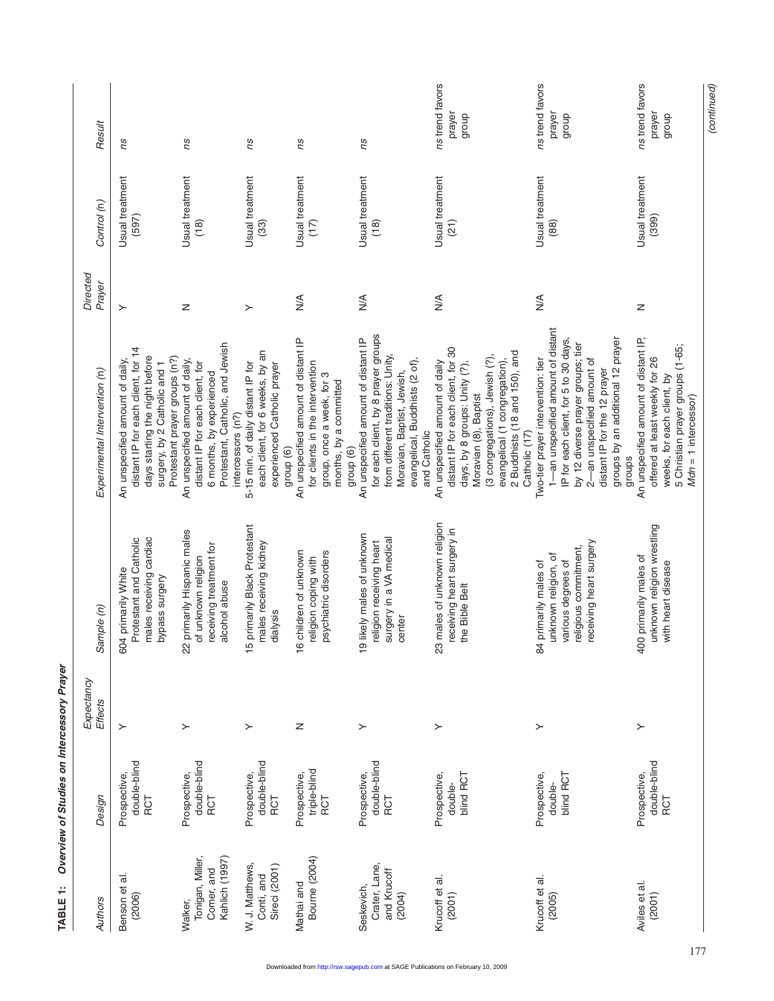| Authors                                                     | Design                                     | Expectancy<br>Effects | Sample (n)                                                                                                              | Experimental Intervention (n)                                                                                                                                                                                                                                       | Directed<br>Prayer | Control (n)              | Result                             |
|-------------------------------------------------------------|--------------------------------------------|-----------------------|-------------------------------------------------------------------------------------------------------------------------|---------------------------------------------------------------------------------------------------------------------------------------------------------------------------------------------------------------------------------------------------------------------|--------------------|--------------------------|------------------------------------|
| ಸ<br>Benson et<br>(2006)                                    | double-blind<br>Prospective,<br><b>RCT</b> | ≻                     | males receiving cardiac<br>Protestant and Catholic<br>04 primarily White<br>bypass surgery<br>8                         | distant IP for each client, for 14<br>days starting the night before<br>Protestant prayer groups (n?)<br>An unspecified amount of daily,<br>surgery, by 2 Catholic and 1                                                                                            | ≻                  | Usual treatment<br>(597) | ςū                                 |
| Tonigan, Miller,<br>Kahlich (1997)<br>Comer, and<br>Walker, | double-blind<br>Prospective,<br><b>RCT</b> | $\succ$               | primarily Hispanic males<br>receiving treatment for<br>of unknown religion<br>alcohol abuse<br>$\approx$                | Protestant, Catholic, and Jewish<br>An unspecified amount of daily,<br>distant IP for each client, for<br>6 months, by experienced<br>intercessors (n?)                                                                                                             | z                  | Usual treatment<br>(18)  | Sυ                                 |
| W. J. Matthews,<br>Sireci (2001)<br>Conti, and              | double-blind<br>Prospective,<br>RCT        | ≻                     | 15 primarily Black Protestant<br>males receiving kidney<br>dialysis                                                     | each client, for 6 weeks, by an<br>experienced Catholic prayer<br>5-15 min. of daily distant IP for<br>group (6)                                                                                                                                                    | ≻                  | Usual treatment<br>(33)  | Ωű                                 |
| Bourne (2004)<br>Mathai and                                 | triple-blind<br>Prospective,<br><b>RCT</b> | $\mathsf{z}$          | 16 children of unknown<br>psychiatric disorders<br>religion coping with                                                 | An unspecified amount of distant IP<br>for clients in the intervention<br>group, once a week, for 3<br>months, by a committed<br>group (6)                                                                                                                          | $\leq$             | Usual treatment<br>(17)  | SU                                 |
| Crater, Lane,<br>and Krucoff<br>Seskevich,<br>(2004)        | double-blind<br>Prospective,<br>RCT        | ≻                     | 19 likely males of unknown<br>surgery in a VA medical<br>religion receiving heart<br>center                             | for each client, by 8 prayer groups<br>An unspecified amount of distant IP<br>from different traditions: Unity,<br>evangelical, Buddhists (2 of),<br>Moravian, Baptist, Jewish,<br>and Catholic                                                                     | $\frac{4}{2}$      | Usual treatment<br>(18)  | ΩS                                 |
| Krucoff et al.<br>(2001)                                    | blind RCT<br>Prospective,<br>double-       | ≻                     | 23 males of unknown religion<br>receiving heart surgery in<br>the Bible Belt                                            | distant IP for each client, for 30<br>2 Buddhists (18 and 150), and<br>(3 congregations), Jewish (?),<br>evangelical (1 congregation),<br>An unspecified amount of daily<br>days, by 8 groups: Unity (?),<br>Moravian (8), Baptist<br>Catholic (17)                 | $\frac{4}{2}$      | Usual treatment<br>(21)  | ns trend favors<br>prayer<br>qroup |
| Krucoff et al.<br>(2005)                                    | blind RCT<br>Prospective,<br>double-       | ≻                     | receiving heart surgery<br>religious commitment,<br>unknown religion, of<br>various degrees of<br>84 primarily males of | 1-an unspecified amount of distant<br>groups by an additional 12 prayer<br>IP for each client, for 5 to 30 days,<br>by 12 diverse prayer groups; tier<br>Two-tier prayer intervention: tier<br>2-an unspecified amount of<br>distant IP for the 12 prayer<br>groups | $\frac{4}{2}$      | Usual treatment<br>(88)  | ns trend favors<br>prayer<br>dronb |
| Aviles et al.<br>(2001)                                     | double-blind<br>Prospective,<br><b>RCT</b> | ≻                     | unknown religion wrestling<br>00 primarily males of<br>with heart disease<br>$\frac{1}{2}$                              | An unspecified amount of distant IP,<br>5 Christian prayer groups (1-65;<br>offered at least weekly for 26<br>weeks, for each client, by<br>$Mdh = 1$ intercessor)                                                                                                  | $\mathsf{z}$       | Usual treatment<br>(399) | ns trend favors<br>prayer<br>dronb |

TABLE 1: Overview of Studies on Intercessory Prayer **TABLE 1: Overview of Studies on Intercessory Prayer**

(continued)

(continued)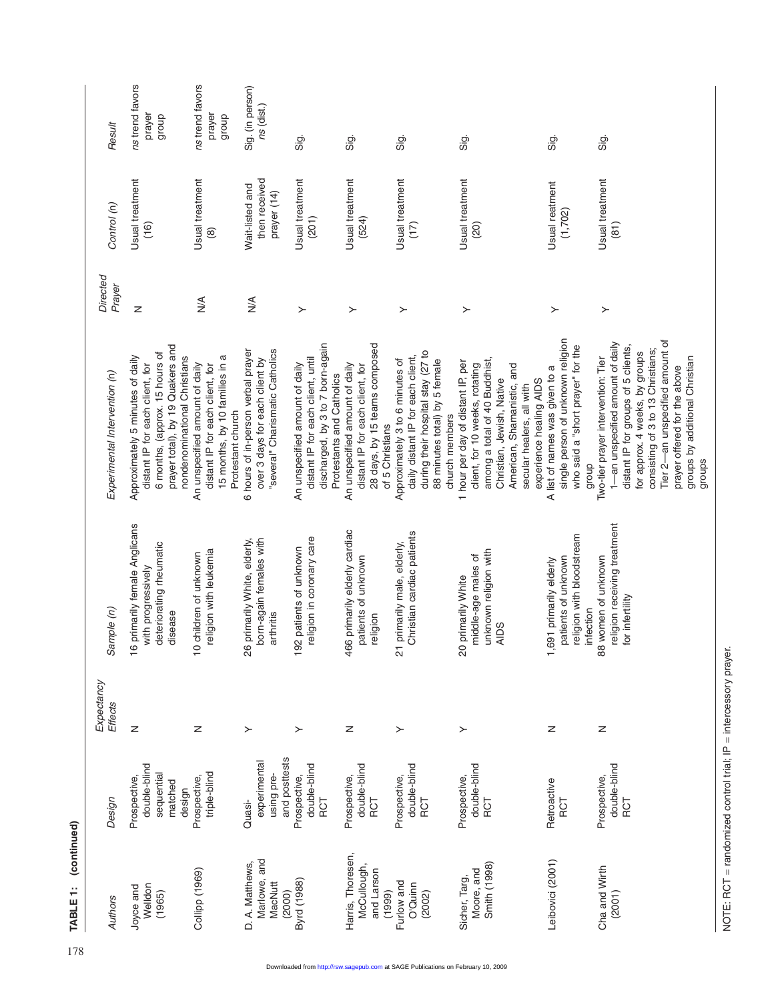| Authors                                                  | Design                                                          | Expectancy<br>Effects | Sample (n)                                                                               | Experimental Intervention (n)                                                                                                                                                                                                                                                                       | Directed<br>Prayer | Control (n)                                     | Result                             |
|----------------------------------------------------------|-----------------------------------------------------------------|-----------------------|------------------------------------------------------------------------------------------|-----------------------------------------------------------------------------------------------------------------------------------------------------------------------------------------------------------------------------------------------------------------------------------------------------|--------------------|-------------------------------------------------|------------------------------------|
| Welldon<br>Joyce and<br>(1965)                           | double-blind<br>sequential<br>Prospective,<br>matched<br>design | $\mathsf{z}$          | 6 primarily female Anglicans<br>deteriorating rheumatic<br>with progressively<br>disease | prayer total), by 19 Quakers and<br>6 months, (approx. 15 hours of<br>nondenominational Christians<br>Approximately 5 minutes of daily<br>distant IP for each client, for                                                                                                                           | Z                  | Usual treatment<br>(16)                         | ns trend favors<br>prayer<br>group |
| Collipp (1969)                                           | triple-blind<br>Prospective,                                    | $\mathsf{z}$          | religion with leukemia<br>0 children of unknown                                          | 15 months, by 10 families in a<br>An unspecified amount of daily<br>distant IP for each client, for<br>Protestant church                                                                                                                                                                            | $\frac{4}{2}$      | Usual treatment<br>$\circledR$                  | ns trend favors<br>prayer<br>qroup |
| Marlowe, and<br>D. A. Matthews,<br>MacNutt<br>(2000)     | and posttests<br>experimental<br>using pre-<br>Quasi-           | ≻                     | born-again females with<br>26 primarily White, elderly,<br>arthritis                     | 6 hours of in-person verbal prayer<br>"several" Charismatic Catholics<br>over 3 days for each client by                                                                                                                                                                                             | $\frac{4}{2}$      | then received<br>Wait-listed and<br>prayer (14) | Sig. (in person)<br>ns (dist.)     |
| Byrd (1988)                                              | double-blind<br>Prospective,<br>RCT                             | ≻                     | religion in coronary care<br>92 patients of unknown                                      | discharged, by 3 to 7 born-again<br>distant IP for each client, until<br>An unspecified amount of daily<br>Protestants and Catholics                                                                                                                                                                | ≻                  | Usual treatment<br>(201)                        | Sig.                               |
| Harris, Thoresen,<br>McCullough,<br>and Larson<br>(1999) | double-blind<br>Prospective,<br>RCT                             | $\mathsf{z}$          | 466 primarily elderly cardiac<br>patients of unknown<br>religion                         | 28 days, by 15 teams composed<br>An unspecified amount of daily<br>distant IP for each client, for<br>of 5 Christians                                                                                                                                                                               | $\succ$            | Usual treatment<br>(524)                        | Sig.                               |
| Furlow and<br>O'Quinn<br>(2002)                          | double-blind<br>Prospective,<br>RCT                             | ≻                     | Christian cardiac patients<br>21 primarily male, elderly,                                | during their hospital stay (27 to<br>daily distant IP for each client,<br>Approximately 3 to 6 minutes of<br>88 minutes total) by 5 female<br>church members                                                                                                                                        | $\succ$            | Usual treatment<br>(17)                         | Sig.                               |
| Smith (1998)<br>Moore, and<br>Sicher, Targ,              | double-blind<br>Prospective,<br>RCT                             | ≻                     | unknown religion with<br>middle-age males of<br>20 primarily White<br><b>AIDS</b>        | among a total of 40 Buddhist,<br>1 hour per day of distant IP, per<br>client, for 10 weeks, rotating<br>American, Shamanistic, and<br>experience healing AIDS<br>Christian, Jewish, Native<br>secular healers, all with                                                                             | ≻                  | Usual treatment<br>(20)                         | Sig.                               |
| Leibovici (2001)                                         | Retroactive<br>RCT                                              | z                     | religion with bloodstream<br>patients of unknown<br>,691 primarily elderly<br>infection  | single person of unknown religion<br>who said a "short prayer" for the<br>A list of names was given to a<br>group                                                                                                                                                                                   | ≻                  | Usual reatment<br>(1,702)                       | Sig.                               |
| Cha and Wirth<br>(2001)                                  | double-blind<br>Prospective,<br>RCT                             | Z                     | religion receiving treatment<br>88 women of unknown<br>for infertility                   | Tier 2-an unspecified amount of<br>1-an unspecified amount of daily<br>distant IP for groups of 5 clients,<br>consisting of 3 to 13 Christians;<br>for approx. 4 weeks, by groups<br>groups by additional Christian<br>Two-tier prayer intervention: Tier<br>prayer offered for the above<br>groups | ≻                  | Usual treatment<br>(81)                         | Sig.                               |

**TABLE 1: (continued)**

TABLE 1: (continued)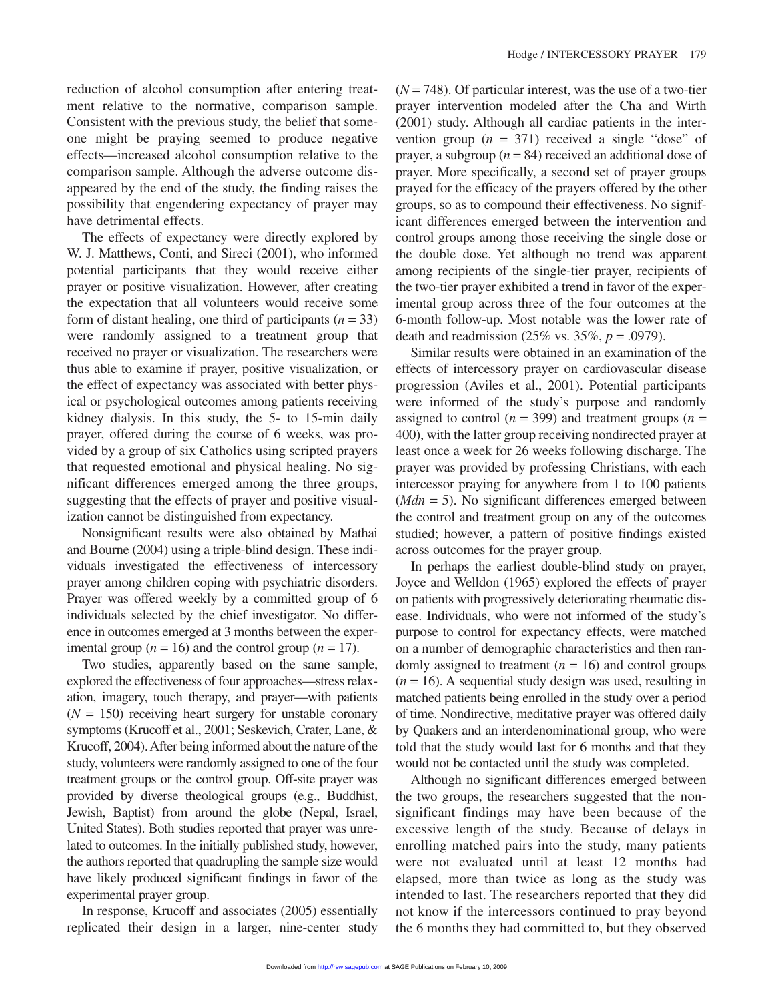reduction of alcohol consumption after entering treatment relative to the normative, comparison sample. Consistent with the previous study, the belief that someone might be praying seemed to produce negative effects—increased alcohol consumption relative to the comparison sample. Although the adverse outcome disappeared by the end of the study, the finding raises the possibility that engendering expectancy of prayer may have detrimental effects.

The effects of expectancy were directly explored by W. J. Matthews, Conti, and Sireci (2001), who informed potential participants that they would receive either prayer or positive visualization. However, after creating the expectation that all volunteers would receive some form of distant healing, one third of participants  $(n = 33)$ were randomly assigned to a treatment group that received no prayer or visualization. The researchers were thus able to examine if prayer, positive visualization, or the effect of expectancy was associated with better physical or psychological outcomes among patients receiving kidney dialysis. In this study, the 5- to 15-min daily prayer, offered during the course of 6 weeks, was provided by a group of six Catholics using scripted prayers that requested emotional and physical healing. No significant differences emerged among the three groups, suggesting that the effects of prayer and positive visualization cannot be distinguished from expectancy.

Nonsignificant results were also obtained by Mathai and Bourne (2004) using a triple-blind design. These individuals investigated the effectiveness of intercessory prayer among children coping with psychiatric disorders. Prayer was offered weekly by a committed group of 6 individuals selected by the chief investigator. No difference in outcomes emerged at 3 months between the experimental group ( $n = 16$ ) and the control group ( $n = 17$ ).

Two studies, apparently based on the same sample, explored the effectiveness of four approaches—stress relaxation, imagery, touch therapy, and prayer—with patients  $(N = 150)$  receiving heart surgery for unstable coronary symptoms (Krucoff et al., 2001; Seskevich, Crater, Lane, & Krucoff, 2004). After being informed about the nature of the study, volunteers were randomly assigned to one of the four treatment groups or the control group. Off-site prayer was provided by diverse theological groups (e.g., Buddhist, Jewish, Baptist) from around the globe (Nepal, Israel, United States). Both studies reported that prayer was unrelated to outcomes. In the initially published study, however, the authors reported that quadrupling the sample size would have likely produced significant findings in favor of the experimental prayer group.

In response, Krucoff and associates (2005) essentially replicated their design in a larger, nine-center study  $(N = 748)$ . Of particular interest, was the use of a two-tier prayer intervention modeled after the Cha and Wirth (2001) study. Although all cardiac patients in the intervention group  $(n = 371)$  received a single "dose" of prayer, a subgroup  $(n = 84)$  received an additional dose of prayer. More specifically, a second set of prayer groups prayed for the efficacy of the prayers offered by the other groups, so as to compound their effectiveness. No significant differences emerged between the intervention and control groups among those receiving the single dose or the double dose. Yet although no trend was apparent among recipients of the single-tier prayer, recipients of the two-tier prayer exhibited a trend in favor of the experimental group across three of the four outcomes at the 6-month follow-up. Most notable was the lower rate of death and readmission (25% vs. 35%, *p* = .0979).

Similar results were obtained in an examination of the effects of intercessory prayer on cardiovascular disease progression (Aviles et al., 2001). Potential participants were informed of the study's purpose and randomly assigned to control  $(n = 399)$  and treatment groups  $(n = 100)$ 400), with the latter group receiving nondirected prayer at least once a week for 26 weeks following discharge. The prayer was provided by professing Christians, with each intercessor praying for anywhere from 1 to 100 patients (*Mdn* = 5). No significant differences emerged between the control and treatment group on any of the outcomes studied; however, a pattern of positive findings existed across outcomes for the prayer group.

In perhaps the earliest double-blind study on prayer, Joyce and Welldon (1965) explored the effects of prayer on patients with progressively deteriorating rheumatic disease. Individuals, who were not informed of the study's purpose to control for expectancy effects, were matched on a number of demographic characteristics and then randomly assigned to treatment  $(n = 16)$  and control groups  $(n = 16)$ . A sequential study design was used, resulting in matched patients being enrolled in the study over a period of time. Nondirective, meditative prayer was offered daily by Quakers and an interdenominational group, who were told that the study would last for 6 months and that they would not be contacted until the study was completed.

Although no significant differences emerged between the two groups, the researchers suggested that the nonsignificant findings may have been because of the excessive length of the study. Because of delays in enrolling matched pairs into the study, many patients were not evaluated until at least 12 months had elapsed, more than twice as long as the study was intended to last. The researchers reported that they did not know if the intercessors continued to pray beyond the 6 months they had committed to, but they observed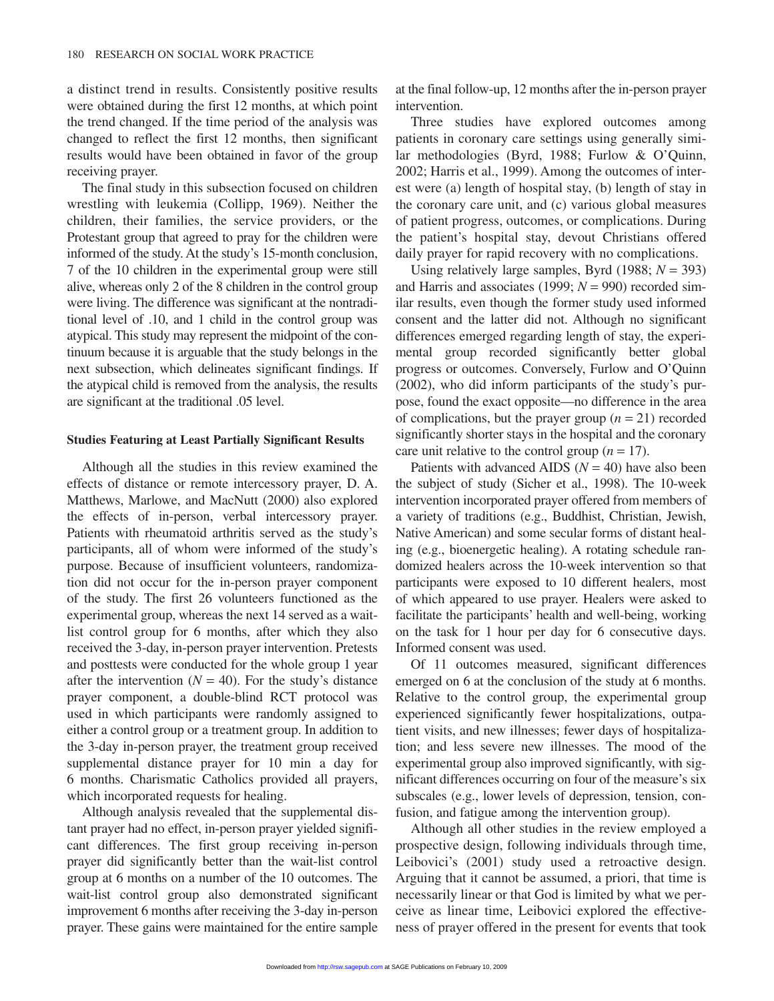a distinct trend in results. Consistently positive results were obtained during the first 12 months, at which point the trend changed. If the time period of the analysis was changed to reflect the first 12 months, then significant results would have been obtained in favor of the group receiving prayer.

The final study in this subsection focused on children wrestling with leukemia (Collipp, 1969). Neither the children, their families, the service providers, or the Protestant group that agreed to pray for the children were informed of the study. At the study's 15-month conclusion, 7 of the 10 children in the experimental group were still alive, whereas only 2 of the 8 children in the control group were living. The difference was significant at the nontraditional level of .10, and 1 child in the control group was atypical. This study may represent the midpoint of the continuum because it is arguable that the study belongs in the next subsection, which delineates significant findings. If the atypical child is removed from the analysis, the results are significant at the traditional .05 level.

#### **Studies Featuring at Least Partially Significant Results**

Although all the studies in this review examined the effects of distance or remote intercessory prayer, D. A. Matthews, Marlowe, and MacNutt (2000) also explored the effects of in-person, verbal intercessory prayer. Patients with rheumatoid arthritis served as the study's participants, all of whom were informed of the study's purpose. Because of insufficient volunteers, randomization did not occur for the in-person prayer component of the study. The first 26 volunteers functioned as the experimental group, whereas the next 14 served as a waitlist control group for 6 months, after which they also received the 3-day, in-person prayer intervention. Pretests and posttests were conducted for the whole group 1 year after the intervention  $(N = 40)$ . For the study's distance prayer component, a double-blind RCT protocol was used in which participants were randomly assigned to either a control group or a treatment group. In addition to the 3-day in-person prayer, the treatment group received supplemental distance prayer for 10 min a day for 6 months. Charismatic Catholics provided all prayers, which incorporated requests for healing.

Although analysis revealed that the supplemental distant prayer had no effect, in-person prayer yielded significant differences. The first group receiving in-person prayer did significantly better than the wait-list control group at 6 months on a number of the 10 outcomes. The wait-list control group also demonstrated significant improvement 6 months after receiving the 3-day in-person prayer. These gains were maintained for the entire sample at the final follow-up, 12 months after the in-person prayer intervention.

Three studies have explored outcomes among patients in coronary care settings using generally similar methodologies (Byrd, 1988; Furlow & O'Quinn, 2002; Harris et al., 1999). Among the outcomes of interest were (a) length of hospital stay, (b) length of stay in the coronary care unit, and (c) various global measures of patient progress, outcomes, or complications. During the patient's hospital stay, devout Christians offered daily prayer for rapid recovery with no complications.

Using relatively large samples, Byrd (1988; *N* = 393) and Harris and associates (1999; *N* = 990) recorded similar results, even though the former study used informed consent and the latter did not. Although no significant differences emerged regarding length of stay, the experimental group recorded significantly better global progress or outcomes. Conversely, Furlow and O'Quinn (2002), who did inform participants of the study's purpose, found the exact opposite—no difference in the area of complications, but the prayer group  $(n = 21)$  recorded significantly shorter stays in the hospital and the coronary care unit relative to the control group  $(n = 17)$ .

Patients with advanced AIDS  $(N = 40)$  have also been the subject of study (Sicher et al., 1998). The 10-week intervention incorporated prayer offered from members of a variety of traditions (e.g., Buddhist, Christian, Jewish, Native American) and some secular forms of distant healing (e.g., bioenergetic healing). A rotating schedule randomized healers across the 10-week intervention so that participants were exposed to 10 different healers, most of which appeared to use prayer. Healers were asked to facilitate the participants' health and well-being, working on the task for 1 hour per day for 6 consecutive days. Informed consent was used.

Of 11 outcomes measured, significant differences emerged on 6 at the conclusion of the study at 6 months. Relative to the control group, the experimental group experienced significantly fewer hospitalizations, outpatient visits, and new illnesses; fewer days of hospitalization; and less severe new illnesses. The mood of the experimental group also improved significantly, with significant differences occurring on four of the measure's six subscales (e.g., lower levels of depression, tension, confusion, and fatigue among the intervention group).

Although all other studies in the review employed a prospective design, following individuals through time, Leibovici's (2001) study used a retroactive design. Arguing that it cannot be assumed, a priori, that time is necessarily linear or that God is limited by what we perceive as linear time, Leibovici explored the effectiveness of prayer offered in the present for events that took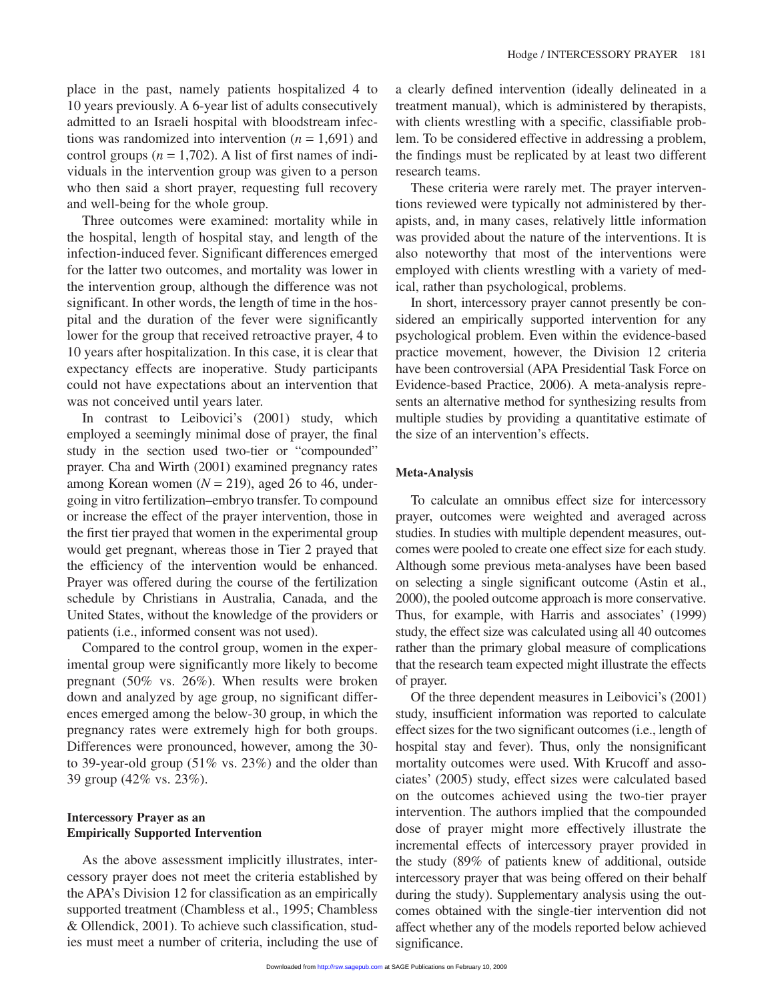place in the past, namely patients hospitalized 4 to 10 years previously. A 6-year list of adults consecutively admitted to an Israeli hospital with bloodstream infections was randomized into intervention  $(n = 1,691)$  and control groups ( $n = 1,702$ ). A list of first names of individuals in the intervention group was given to a person who then said a short prayer, requesting full recovery and well-being for the whole group.

Three outcomes were examined: mortality while in the hospital, length of hospital stay, and length of the infection-induced fever. Significant differences emerged for the latter two outcomes, and mortality was lower in the intervention group, although the difference was not significant. In other words, the length of time in the hospital and the duration of the fever were significantly lower for the group that received retroactive prayer, 4 to 10 years after hospitalization. In this case, it is clear that expectancy effects are inoperative. Study participants could not have expectations about an intervention that was not conceived until years later.

In contrast to Leibovici's (2001) study, which employed a seemingly minimal dose of prayer, the final study in the section used two-tier or "compounded" prayer. Cha and Wirth (2001) examined pregnancy rates among Korean women  $(N = 219)$ , aged 26 to 46, undergoing in vitro fertilization–embryo transfer. To compound or increase the effect of the prayer intervention, those in the first tier prayed that women in the experimental group would get pregnant, whereas those in Tier 2 prayed that the efficiency of the intervention would be enhanced. Prayer was offered during the course of the fertilization schedule by Christians in Australia, Canada, and the United States, without the knowledge of the providers or patients (i.e., informed consent was not used).

Compared to the control group, women in the experimental group were significantly more likely to become pregnant (50% vs. 26%). When results were broken down and analyzed by age group, no significant differences emerged among the below-30 group, in which the pregnancy rates were extremely high for both groups. Differences were pronounced, however, among the 30 to 39-year-old group (51% vs. 23%) and the older than 39 group (42% vs. 23%).

# **Intercessory Prayer as an Empirically Supported Intervention**

As the above assessment implicitly illustrates, intercessory prayer does not meet the criteria established by the APA's Division 12 for classification as an empirically supported treatment (Chambless et al., 1995; Chambless & Ollendick, 2001). To achieve such classification, studies must meet a number of criteria, including the use of a clearly defined intervention (ideally delineated in a treatment manual), which is administered by therapists, with clients wrestling with a specific, classifiable problem. To be considered effective in addressing a problem, the findings must be replicated by at least two different research teams.

These criteria were rarely met. The prayer interventions reviewed were typically not administered by therapists, and, in many cases, relatively little information was provided about the nature of the interventions. It is also noteworthy that most of the interventions were employed with clients wrestling with a variety of medical, rather than psychological, problems.

In short, intercessory prayer cannot presently be considered an empirically supported intervention for any psychological problem. Even within the evidence-based practice movement, however, the Division 12 criteria have been controversial (APA Presidential Task Force on Evidence-based Practice, 2006). A meta-analysis represents an alternative method for synthesizing results from multiple studies by providing a quantitative estimate of the size of an intervention's effects.

# **Meta-Analysis**

To calculate an omnibus effect size for intercessory prayer, outcomes were weighted and averaged across studies. In studies with multiple dependent measures, outcomes were pooled to create one effect size for each study. Although some previous meta-analyses have been based on selecting a single significant outcome (Astin et al., 2000), the pooled outcome approach is more conservative. Thus, for example, with Harris and associates' (1999) study, the effect size was calculated using all 40 outcomes rather than the primary global measure of complications that the research team expected might illustrate the effects of prayer.

Of the three dependent measures in Leibovici's (2001) study, insufficient information was reported to calculate effect sizes for the two significant outcomes (i.e., length of hospital stay and fever). Thus, only the nonsignificant mortality outcomes were used. With Krucoff and associates' (2005) study, effect sizes were calculated based on the outcomes achieved using the two-tier prayer intervention. The authors implied that the compounded dose of prayer might more effectively illustrate the incremental effects of intercessory prayer provided in the study (89% of patients knew of additional, outside intercessory prayer that was being offered on their behalf during the study). Supplementary analysis using the outcomes obtained with the single-tier intervention did not affect whether any of the models reported below achieved significance.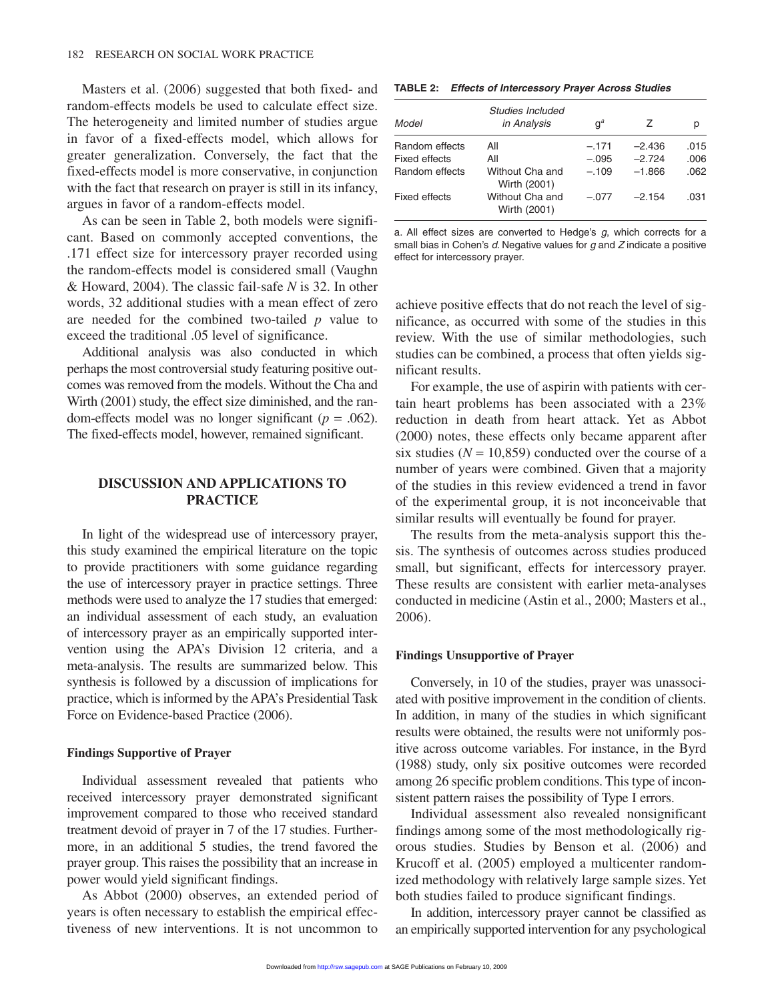Masters et al. (2006) suggested that both fixed- and random-effects models be used to calculate effect size. The heterogeneity and limited number of studies argue in favor of a fixed-effects model, which allows for greater generalization. Conversely, the fact that the fixed-effects model is more conservative, in conjunction with the fact that research on prayer is still in its infancy, argues in favor of a random-effects model.

As can be seen in Table 2, both models were significant. Based on commonly accepted conventions, the .171 effect size for intercessory prayer recorded using the random-effects model is considered small (Vaughn & Howard, 2004). The classic fail-safe *N* is 32. In other words, 32 additional studies with a mean effect of zero are needed for the combined two-tailed *p* value to exceed the traditional .05 level of significance.

Additional analysis was also conducted in which perhaps the most controversial study featuring positive outcomes was removed from the models. Without the Cha and Wirth (2001) study, the effect size diminished, and the random-effects model was no longer significant ( $p = .062$ ). The fixed-effects model, however, remained significant.

# **DISCUSSION AND APPLICATIONS TO PRACTICE**

In light of the widespread use of intercessory prayer, this study examined the empirical literature on the topic to provide practitioners with some guidance regarding the use of intercessory prayer in practice settings. Three methods were used to analyze the 17 studies that emerged: an individual assessment of each study, an evaluation of intercessory prayer as an empirically supported intervention using the APA's Division 12 criteria, and a meta-analysis. The results are summarized below. This synthesis is followed by a discussion of implications for practice, which is informed by the APA's Presidential Task Force on Evidence-based Practice (2006).

# **Findings Supportive of Prayer**

Individual assessment revealed that patients who received intercessory prayer demonstrated significant improvement compared to those who received standard treatment devoid of prayer in 7 of the 17 studies. Furthermore, in an additional 5 studies, the trend favored the prayer group. This raises the possibility that an increase in power would yield significant findings.

As Abbot (2000) observes, an extended period of years is often necessary to establish the empirical effectiveness of new interventions. It is not uncommon to

| <b>TABLE 2: Effects of Intercessory Prayer Across Studies</b> |  |  |  |  |  |
|---------------------------------------------------------------|--|--|--|--|--|
|---------------------------------------------------------------|--|--|--|--|--|

| Model          | Studies Included<br>in Analysis | $q^a$   | Ζ        | р    |
|----------------|---------------------------------|---------|----------|------|
| Random effects | All                             | $-.171$ | $-2.436$ | .015 |
| Fixed effects  | All                             | $-.095$ | $-2.724$ | .006 |
| Random effects | Without Cha and<br>Wirth (2001) | $-.109$ | $-1.866$ | .062 |
| Fixed effects  | Without Cha and<br>Wirth (2001) | $-.077$ | $-2.154$ | .031 |

a. All effect sizes are converted to Hedge's  $g$ , which corrects for a small bias in Cohen's  $d$ . Negative values for  $g$  and  $Z$  indicate a positive effect for intercessory prayer.

achieve positive effects that do not reach the level of significance, as occurred with some of the studies in this review. With the use of similar methodologies, such studies can be combined, a process that often yields significant results.

For example, the use of aspirin with patients with certain heart problems has been associated with a 23% reduction in death from heart attack. Yet as Abbot (2000) notes, these effects only became apparent after six studies ( $N = 10,859$ ) conducted over the course of a number of years were combined. Given that a majority of the studies in this review evidenced a trend in favor of the experimental group, it is not inconceivable that similar results will eventually be found for prayer.

The results from the meta-analysis support this thesis. The synthesis of outcomes across studies produced small, but significant, effects for intercessory prayer. These results are consistent with earlier meta-analyses conducted in medicine (Astin et al., 2000; Masters et al., 2006).

## **Findings Unsupportive of Prayer**

Conversely, in 10 of the studies, prayer was unassociated with positive improvement in the condition of clients. In addition, in many of the studies in which significant results were obtained, the results were not uniformly positive across outcome variables. For instance, in the Byrd (1988) study, only six positive outcomes were recorded among 26 specific problem conditions. This type of inconsistent pattern raises the possibility of Type I errors.

Individual assessment also revealed nonsignificant findings among some of the most methodologically rigorous studies. Studies by Benson et al. (2006) and Krucoff et al. (2005) employed a multicenter randomized methodology with relatively large sample sizes. Yet both studies failed to produce significant findings.

In addition, intercessory prayer cannot be classified as an empirically supported intervention for any psychological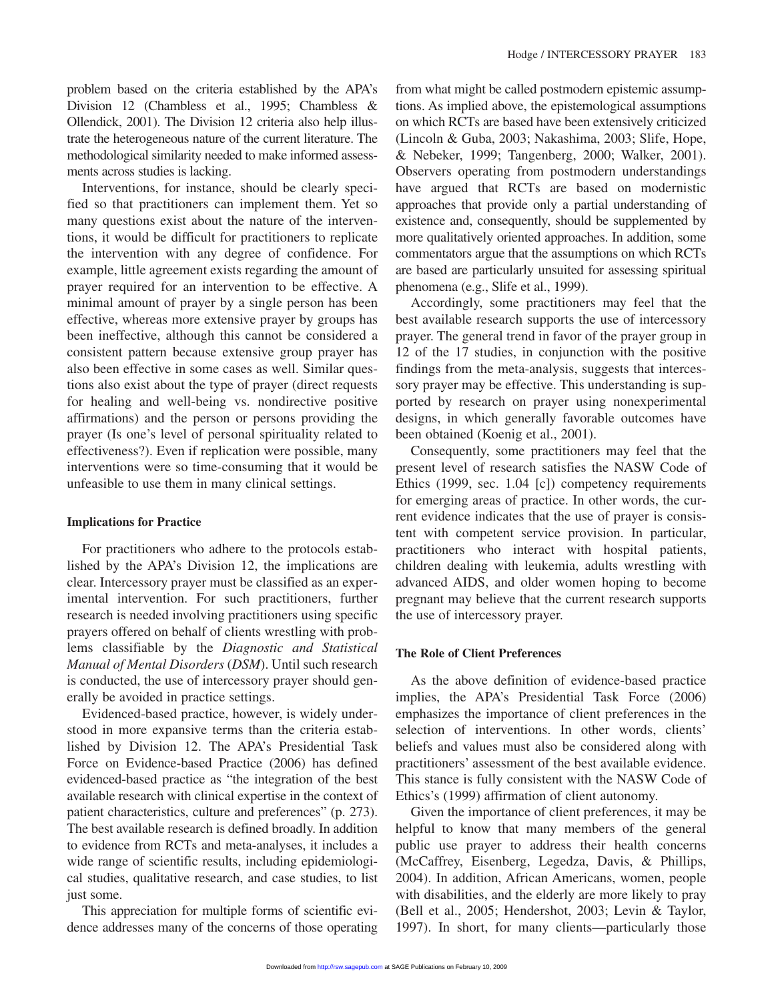problem based on the criteria established by the APA's Division 12 (Chambless et al., 1995; Chambless & Ollendick, 2001). The Division 12 criteria also help illustrate the heterogeneous nature of the current literature. The methodological similarity needed to make informed assessments across studies is lacking.

Interventions, for instance, should be clearly specified so that practitioners can implement them. Yet so many questions exist about the nature of the interventions, it would be difficult for practitioners to replicate the intervention with any degree of confidence. For example, little agreement exists regarding the amount of prayer required for an intervention to be effective. A minimal amount of prayer by a single person has been effective, whereas more extensive prayer by groups has been ineffective, although this cannot be considered a consistent pattern because extensive group prayer has also been effective in some cases as well. Similar questions also exist about the type of prayer (direct requests for healing and well-being vs. nondirective positive affirmations) and the person or persons providing the prayer (Is one's level of personal spirituality related to effectiveness?). Even if replication were possible, many interventions were so time-consuming that it would be unfeasible to use them in many clinical settings.

# **Implications for Practice**

For practitioners who adhere to the protocols established by the APA's Division 12, the implications are clear. Intercessory prayer must be classified as an experimental intervention. For such practitioners, further research is needed involving practitioners using specific prayers offered on behalf of clients wrestling with problems classifiable by the *Diagnostic and Statistical Manual of Mental Disorders* (*DSM*). Until such research is conducted, the use of intercessory prayer should generally be avoided in practice settings.

Evidenced-based practice, however, is widely understood in more expansive terms than the criteria established by Division 12. The APA's Presidential Task Force on Evidence-based Practice (2006) has defined evidenced-based practice as "the integration of the best available research with clinical expertise in the context of patient characteristics, culture and preferences" (p. 273). The best available research is defined broadly. In addition to evidence from RCTs and meta-analyses, it includes a wide range of scientific results, including epidemiological studies, qualitative research, and case studies, to list just some.

This appreciation for multiple forms of scientific evidence addresses many of the concerns of those operating from what might be called postmodern epistemic assumptions. As implied above, the epistemological assumptions on which RCTs are based have been extensively criticized (Lincoln & Guba, 2003; Nakashima, 2003; Slife, Hope, & Nebeker, 1999; Tangenberg, 2000; Walker, 2001). Observers operating from postmodern understandings have argued that RCTs are based on modernistic approaches that provide only a partial understanding of existence and, consequently, should be supplemented by more qualitatively oriented approaches. In addition, some commentators argue that the assumptions on which RCTs are based are particularly unsuited for assessing spiritual phenomena (e.g., Slife et al., 1999).

Accordingly, some practitioners may feel that the best available research supports the use of intercessory prayer. The general trend in favor of the prayer group in 12 of the 17 studies, in conjunction with the positive findings from the meta-analysis, suggests that intercessory prayer may be effective. This understanding is supported by research on prayer using nonexperimental designs, in which generally favorable outcomes have been obtained (Koenig et al., 2001).

Consequently, some practitioners may feel that the present level of research satisfies the NASW Code of Ethics (1999, sec. 1.04 [c]) competency requirements for emerging areas of practice. In other words, the current evidence indicates that the use of prayer is consistent with competent service provision. In particular, practitioners who interact with hospital patients, children dealing with leukemia, adults wrestling with advanced AIDS, and older women hoping to become pregnant may believe that the current research supports the use of intercessory prayer.

# **The Role of Client Preferences**

As the above definition of evidence-based practice implies, the APA's Presidential Task Force (2006) emphasizes the importance of client preferences in the selection of interventions. In other words, clients' beliefs and values must also be considered along with practitioners' assessment of the best available evidence. This stance is fully consistent with the NASW Code of Ethics's (1999) affirmation of client autonomy.

Given the importance of client preferences, it may be helpful to know that many members of the general public use prayer to address their health concerns (McCaffrey, Eisenberg, Legedza, Davis, & Phillips, 2004). In addition, African Americans, women, people with disabilities, and the elderly are more likely to pray (Bell et al., 2005; Hendershot, 2003; Levin & Taylor, 1997). In short, for many clients—particularly those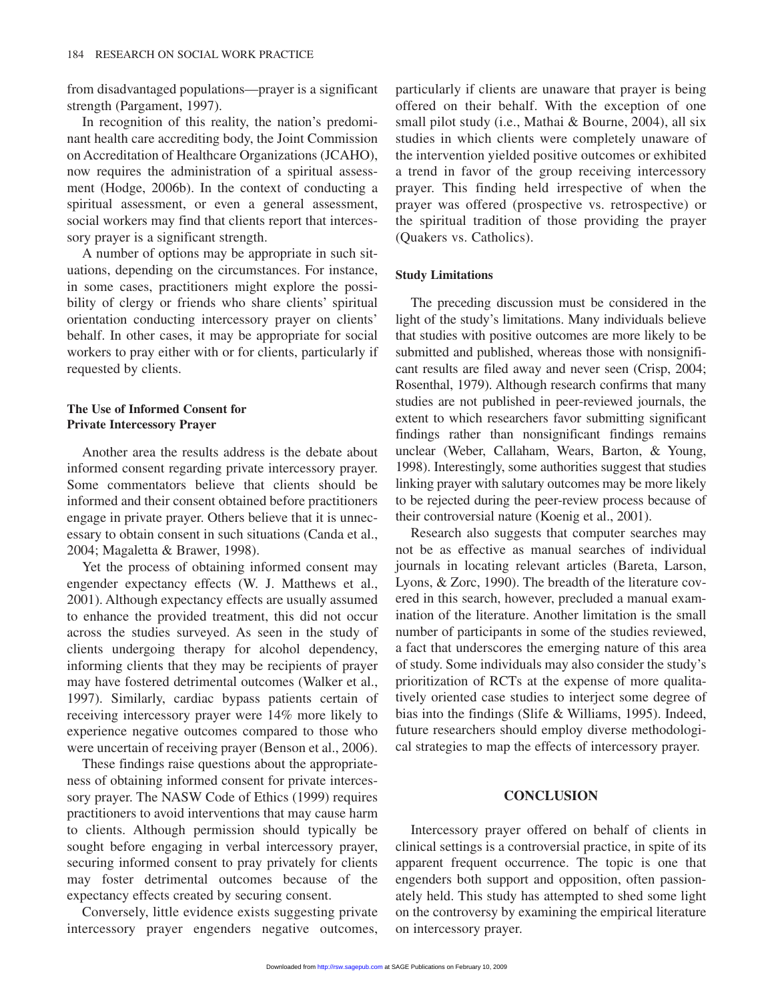from disadvantaged populations—prayer is a significant strength (Pargament, 1997).

In recognition of this reality, the nation's predominant health care accrediting body, the Joint Commission on Accreditation of Healthcare Organizations (JCAHO), now requires the administration of a spiritual assessment (Hodge, 2006b). In the context of conducting a spiritual assessment, or even a general assessment, social workers may find that clients report that intercessory prayer is a significant strength.

A number of options may be appropriate in such situations, depending on the circumstances. For instance, in some cases, practitioners might explore the possibility of clergy or friends who share clients' spiritual orientation conducting intercessory prayer on clients' behalf. In other cases, it may be appropriate for social workers to pray either with or for clients, particularly if requested by clients.

# **The Use of Informed Consent for Private Intercessory Prayer**

Another area the results address is the debate about informed consent regarding private intercessory prayer. Some commentators believe that clients should be informed and their consent obtained before practitioners engage in private prayer. Others believe that it is unnecessary to obtain consent in such situations (Canda et al., 2004; Magaletta & Brawer, 1998).

Yet the process of obtaining informed consent may engender expectancy effects (W. J. Matthews et al., 2001). Although expectancy effects are usually assumed to enhance the provided treatment, this did not occur across the studies surveyed. As seen in the study of clients undergoing therapy for alcohol dependency, informing clients that they may be recipients of prayer may have fostered detrimental outcomes (Walker et al., 1997). Similarly, cardiac bypass patients certain of receiving intercessory prayer were 14% more likely to experience negative outcomes compared to those who were uncertain of receiving prayer (Benson et al., 2006).

These findings raise questions about the appropriateness of obtaining informed consent for private intercessory prayer. The NASW Code of Ethics (1999) requires practitioners to avoid interventions that may cause harm to clients. Although permission should typically be sought before engaging in verbal intercessory prayer, securing informed consent to pray privately for clients may foster detrimental outcomes because of the expectancy effects created by securing consent.

Conversely, little evidence exists suggesting private intercessory prayer engenders negative outcomes,

particularly if clients are unaware that prayer is being offered on their behalf. With the exception of one small pilot study (i.e., Mathai & Bourne, 2004), all six studies in which clients were completely unaware of the intervention yielded positive outcomes or exhibited a trend in favor of the group receiving intercessory prayer. This finding held irrespective of when the prayer was offered (prospective vs. retrospective) or the spiritual tradition of those providing the prayer (Quakers vs. Catholics).

# **Study Limitations**

The preceding discussion must be considered in the light of the study's limitations. Many individuals believe that studies with positive outcomes are more likely to be submitted and published, whereas those with nonsignificant results are filed away and never seen (Crisp, 2004; Rosenthal, 1979). Although research confirms that many studies are not published in peer-reviewed journals, the extent to which researchers favor submitting significant findings rather than nonsignificant findings remains unclear (Weber, Callaham, Wears, Barton, & Young, 1998). Interestingly, some authorities suggest that studies linking prayer with salutary outcomes may be more likely to be rejected during the peer-review process because of their controversial nature (Koenig et al., 2001).

Research also suggests that computer searches may not be as effective as manual searches of individual journals in locating relevant articles (Bareta, Larson, Lyons, & Zorc, 1990). The breadth of the literature covered in this search, however, precluded a manual examination of the literature. Another limitation is the small number of participants in some of the studies reviewed, a fact that underscores the emerging nature of this area of study. Some individuals may also consider the study's prioritization of RCTs at the expense of more qualitatively oriented case studies to interject some degree of bias into the findings (Slife & Williams, 1995). Indeed, future researchers should employ diverse methodological strategies to map the effects of intercessory prayer.

# **CONCLUSION**

Intercessory prayer offered on behalf of clients in clinical settings is a controversial practice, in spite of its apparent frequent occurrence. The topic is one that engenders both support and opposition, often passionately held. This study has attempted to shed some light on the controversy by examining the empirical literature on intercessory prayer.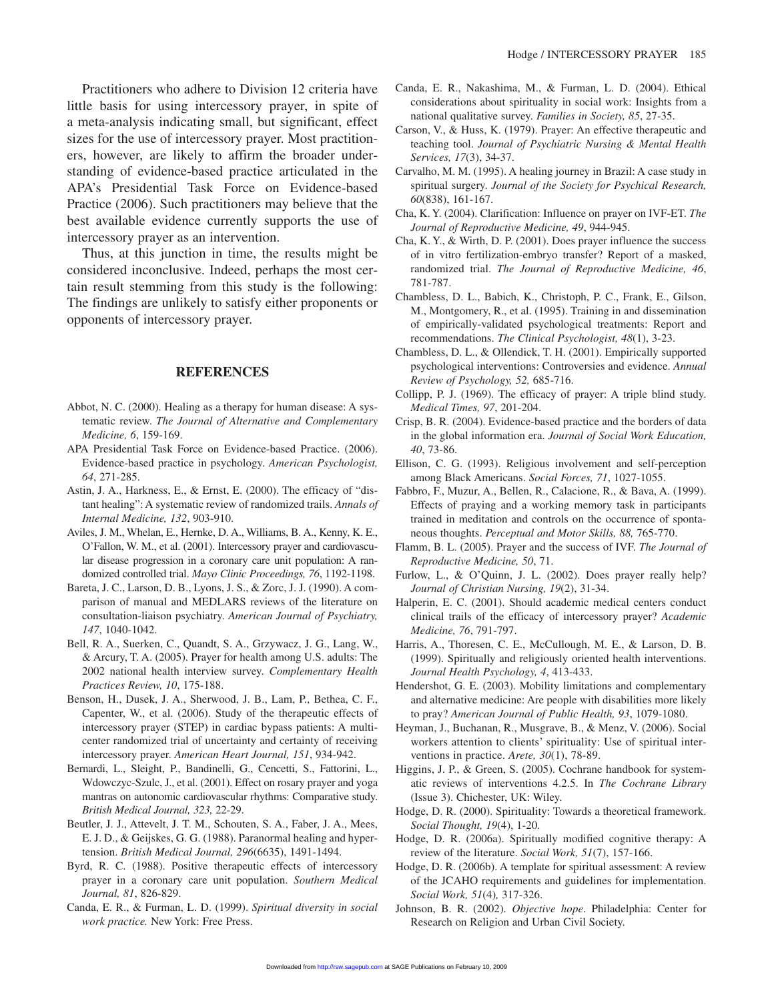Practitioners who adhere to Division 12 criteria have little basis for using intercessory prayer, in spite of a meta-analysis indicating small, but significant, effect sizes for the use of intercessory prayer. Most practitioners, however, are likely to affirm the broader understanding of evidence-based practice articulated in the APA's Presidential Task Force on Evidence-based Practice (2006). Such practitioners may believe that the best available evidence currently supports the use of intercessory prayer as an intervention.

Thus, at this junction in time, the results might be considered inconclusive. Indeed, perhaps the most certain result stemming from this study is the following: The findings are unlikely to satisfy either proponents or opponents of intercessory prayer.

# **REFERENCES**

- Abbot, N. C. (2000). Healing as a therapy for human disease: A systematic review. *The Journal of Alternative and Complementary Medicine, 6*, 159-169.
- APA Presidential Task Force on Evidence-based Practice. (2006). Evidence-based practice in psychology. *American Psychologist, 64*, 271-285.
- Astin, J. A., Harkness, E., & Ernst, E. (2000). The efficacy of "distant healing": A systematic review of randomized trails. *Annals of Internal Medicine, 132*, 903-910.
- Aviles, J. M., Whelan, E., Hernke, D. A., Williams, B. A., Kenny, K. E., O'Fallon, W. M., et al. (2001). Intercessory prayer and cardiovascular disease progression in a coronary care unit population: A randomized controlled trial. *Mayo Clinic Proceedings, 76*, 1192-1198.
- Bareta, J. C., Larson, D. B., Lyons, J. S., & Zorc, J. J. (1990). A comparison of manual and MEDLARS reviews of the literature on consultation-liaison psychiatry. *American Journal of Psychiatry, 147*, 1040-1042.
- Bell, R. A., Suerken, C., Quandt, S. A., Grzywacz, J. G., Lang, W., & Arcury, T. A. (2005). Prayer for health among U.S. adults: The 2002 national health interview survey. *Complementary Health Practices Review, 10*, 175-188.
- Benson, H., Dusek, J. A., Sherwood, J. B., Lam, P., Bethea, C. F., Capenter, W., et al. (2006). Study of the therapeutic effects of intercessory prayer (STEP) in cardiac bypass patients: A multicenter randomized trial of uncertainty and certainty of receiving intercessory prayer. *American Heart Journal, 151*, 934-942.
- Bernardi, L., Sleight, P., Bandinelli, G., Cencetti, S., Fattorini, L., Wdowczyc-Szulc, J., et al. (2001). Effect on rosary prayer and yoga mantras on autonomic cardiovascular rhythms: Comparative study. *British Medical Journal, 323,* 22-29.
- Beutler, J. J., Attevelt, J. T. M., Schouten, S. A., Faber, J. A., Mees, E. J. D., & Geijskes, G. G. (1988). Paranormal healing and hypertension. *British Medical Journal, 296*(6635), 1491-1494.
- Byrd, R. C. (1988). Positive therapeutic effects of intercessory prayer in a coronary care unit population. *Southern Medical Journal, 81*, 826-829.
- Canda, E. R., & Furman, L. D. (1999). *Spiritual diversity in social work practice.* New York: Free Press.
- Canda, E. R., Nakashima, M., & Furman, L. D. (2004). Ethical considerations about spirituality in social work: Insights from a national qualitative survey. *Families in Society, 85*, 27-35.
- Carson, V., & Huss, K. (1979). Prayer: An effective therapeutic and teaching tool. *Journal of Psychiatric Nursing & Mental Health Services, 17*(3), 34-37.
- Carvalho, M. M. (1995). A healing journey in Brazil: A case study in spiritual surgery. *Journal of the Society for Psychical Research, 60*(838), 161-167.
- Cha, K. Y. (2004). Clarification: Influence on prayer on IVF-ET. *The Journal of Reproductive Medicine, 49*, 944-945.
- Cha, K. Y., & Wirth, D. P. (2001). Does prayer influence the success of in vitro fertilization-embryo transfer? Report of a masked, randomized trial. *The Journal of Reproductive Medicine, 46*, 781-787.
- Chambless, D. L., Babich, K., Christoph, P. C., Frank, E., Gilson, M., Montgomery, R., et al. (1995). Training in and dissemination of empirically-validated psychological treatments: Report and recommendations. *The Clinical Psychologist, 48*(1), 3-23.
- Chambless, D. L., & Ollendick, T. H. (2001). Empirically supported psychological interventions: Controversies and evidence. *Annual Review of Psychology, 52,* 685-716.
- Collipp, P. J. (1969). The efficacy of prayer: A triple blind study. *Medical Times, 97*, 201-204.
- Crisp, B. R. (2004). Evidence-based practice and the borders of data in the global information era. *Journal of Social Work Education, 40*, 73-86.
- Ellison, C. G. (1993). Religious involvement and self-perception among Black Americans. *Social Forces, 71*, 1027-1055.
- Fabbro, F., Muzur, A., Bellen, R., Calacione, R., & Bava, A. (1999). Effects of praying and a working memory task in participants trained in meditation and controls on the occurrence of spontaneous thoughts. *Perceptual and Motor Skills, 88,* 765-770.
- Flamm, B. L. (2005). Prayer and the success of IVF. *The Journal of Reproductive Medicine, 50*, 71.
- Furlow, L., & O'Quinn, J. L. (2002). Does prayer really help? *Journal of Christian Nursing, 19*(2), 31-34.
- Halperin, E. C. (2001). Should academic medical centers conduct clinical trails of the efficacy of intercessory prayer? *Academic Medicine, 76*, 791-797.
- Harris, A., Thoresen, C. E., McCullough, M. E., & Larson, D. B. (1999). Spiritually and religiously oriented health interventions. *Journal Health Psychology, 4*, 413-433.
- Hendershot, G. E. (2003). Mobility limitations and complementary and alternative medicine: Are people with disabilities more likely to pray? *American Journal of Public Health, 93*, 1079-1080.
- Heyman, J., Buchanan, R., Musgrave, B., & Menz, V. (2006). Social workers attention to clients' spirituality: Use of spiritual interventions in practice. *Arete, 30*(1), 78-89.
- Higgins, J. P., & Green, S. (2005). Cochrane handbook for systematic reviews of interventions 4.2.5. In *The Cochrane Library* (Issue 3). Chichester, UK: Wiley.
- Hodge, D. R. (2000). Spirituality: Towards a theoretical framework. *Social Thought, 19*(4), 1-20.
- Hodge, D. R. (2006a). Spiritually modified cognitive therapy: A review of the literature. *Social Work, 51*(7), 157-166.
- Hodge, D. R. (2006b). A template for spiritual assessment: A review of the JCAHO requirements and guidelines for implementation. *Social Work, 51*(4)*,* 317-326.
- Johnson, B. R. (2002). *Objective hope*. Philadelphia: Center for Research on Religion and Urban Civil Society.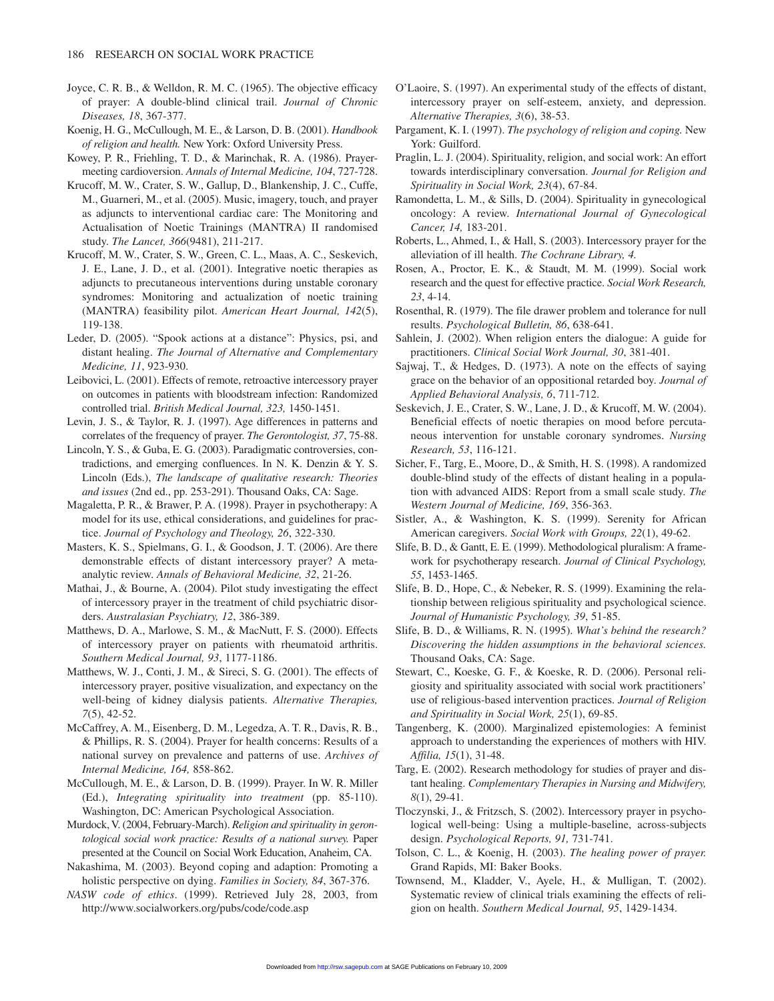- Joyce, C. R. B., & Welldon, R. M. C. (1965). The objective efficacy of prayer: A double-blind clinical trail. *Journal of Chronic Diseases, 18*, 367-377.
- Koenig, H. G., McCullough, M. E., & Larson, D. B. (2001). *Handbook of religion and health.* New York: Oxford University Press.
- Kowey, P. R., Friehling, T. D., & Marinchak, R. A. (1986). Prayermeeting cardioversion. *Annals of Internal Medicine, 104*, 727-728.
- Krucoff, M. W., Crater, S. W., Gallup, D., Blankenship, J. C., Cuffe, M., Guarneri, M., et al. (2005). Music, imagery, touch, and prayer as adjuncts to interventional cardiac care: The Monitoring and Actualisation of Noetic Trainings (MANTRA) II randomised study. *The Lancet, 366*(9481), 211-217.
- Krucoff, M. W., Crater, S. W., Green, C. L., Maas, A. C., Seskevich, J. E., Lane, J. D., et al. (2001). Integrative noetic therapies as adjuncts to precutaneous interventions during unstable coronary syndromes: Monitoring and actualization of noetic training (MANTRA) feasibility pilot. *American Heart Journal, 142*(5), 119-138.
- Leder, D. (2005). "Spook actions at a distance": Physics, psi, and distant healing. *The Journal of Alternative and Complementary Medicine, 11*, 923-930.
- Leibovici, L. (2001). Effects of remote, retroactive intercessory prayer on outcomes in patients with bloodstream infection: Randomized controlled trial. *British Medical Journal, 323,* 1450-1451.
- Levin, J. S., & Taylor, R. J. (1997). Age differences in patterns and correlates of the frequency of prayer. *The Gerontologist, 37*, 75-88.
- Lincoln,Y. S., & Guba, E. G. (2003). Paradigmatic controversies, contradictions, and emerging confluences. In N. K. Denzin & Y. S. Lincoln (Eds.), *The landscape of qualitative research: Theories and issues* (2nd ed., pp. 253-291). Thousand Oaks, CA: Sage.
- Magaletta, P. R., & Brawer, P. A. (1998). Prayer in psychotherapy: A model for its use, ethical considerations, and guidelines for practice. *Journal of Psychology and Theology, 26*, 322-330.
- Masters, K. S., Spielmans, G. I., & Goodson, J. T. (2006). Are there demonstrable effects of distant intercessory prayer? A metaanalytic review. *Annals of Behavioral Medicine, 32*, 21-26.
- Mathai, J., & Bourne, A. (2004). Pilot study investigating the effect of intercessory prayer in the treatment of child psychiatric disorders. *Australasian Psychiatry, 12*, 386-389.
- Matthews, D. A., Marlowe, S. M., & MacNutt, F. S. (2000). Effects of intercessory prayer on patients with rheumatoid arthritis. *Southern Medical Journal, 93*, 1177-1186.
- Matthews, W. J., Conti, J. M., & Sireci, S. G. (2001). The effects of intercessory prayer, positive visualization, and expectancy on the well-being of kidney dialysis patients. *Alternative Therapies, 7*(5), 42-52.
- McCaffrey, A. M., Eisenberg, D. M., Legedza, A. T. R., Davis, R. B., & Phillips, R. S. (2004). Prayer for health concerns: Results of a national survey on prevalence and patterns of use. *Archives of Internal Medicine, 164,* 858-862.
- McCullough, M. E., & Larson, D. B. (1999). Prayer. In W. R. Miller (Ed.), *Integrating spirituality into treatment* (pp. 85-110). Washington, DC: American Psychological Association.
- Murdock, V. (2004, February-March). *Religion and spirituality in gerontological social work practice: Results of a national survey.* Paper presented at the Council on Social Work Education, Anaheim, CA.
- Nakashima, M. (2003). Beyond coping and adaption: Promoting a holistic perspective on dying. *Families in Society, 84*, 367-376.
- *NASW code of ethics*. (1999). Retrieved July 28, 2003, from http://www.socialworkers.org/pubs/code/code.asp
- O'Laoire, S. (1997). An experimental study of the effects of distant, intercessory prayer on self-esteem, anxiety, and depression. *Alternative Therapies, 3*(6), 38-53.
- Pargament, K. I. (1997). *The psychology of religion and coping.* New York: Guilford.
- Praglin, L. J. (2004). Spirituality, religion, and social work: An effort towards interdisciplinary conversation. *Journal for Religion and Spirituality in Social Work, 23*(4), 67-84.
- Ramondetta, L. M., & Sills, D. (2004). Spirituality in gynecological oncology: A review. *International Journal of Gynecological Cancer, 14,* 183-201.
- Roberts, L., Ahmed, I., & Hall, S. (2003). Intercessory prayer for the alleviation of ill health. *The Cochrane Library, 4.*
- Rosen, A., Proctor, E. K., & Staudt, M. M. (1999). Social work research and the quest for effective practice. *Social Work Research, 23*, 4-14.
- Rosenthal, R. (1979). The file drawer problem and tolerance for null results. *Psychological Bulletin, 86*, 638-641.
- Sahlein, J. (2002). When religion enters the dialogue: A guide for practitioners. *Clinical Social Work Journal, 30*, 381-401.
- Sajwaj, T., & Hedges, D. (1973). A note on the effects of saying grace on the behavior of an oppositional retarded boy. *Journal of Applied Behavioral Analysis, 6*, 711-712.
- Seskevich, J. E., Crater, S. W., Lane, J. D., & Krucoff, M. W. (2004). Beneficial effects of noetic therapies on mood before percutaneous intervention for unstable coronary syndromes. *Nursing Research, 53*, 116-121.
- Sicher, F., Targ, E., Moore, D., & Smith, H. S. (1998). A randomized double-blind study of the effects of distant healing in a population with advanced AIDS: Report from a small scale study. *The Western Journal of Medicine, 169*, 356-363.
- Sistler, A., & Washington, K. S. (1999). Serenity for African American caregivers. *Social Work with Groups, 22*(1), 49-62.
- Slife, B. D., & Gantt, E. E. (1999). Methodological pluralism: A framework for psychotherapy research. *Journal of Clinical Psychology, 55*, 1453-1465.
- Slife, B. D., Hope, C., & Nebeker, R. S. (1999). Examining the relationship between religious spirituality and psychological science. *Journal of Humanistic Psychology, 39*, 51-85.
- Slife, B. D., & Williams, R. N. (1995). *What's behind the research? Discovering the hidden assumptions in the behavioral sciences.* Thousand Oaks, CA: Sage.
- Stewart, C., Koeske, G. F., & Koeske, R. D. (2006). Personal religiosity and spirituality associated with social work practitioners' use of religious-based intervention practices. *Journal of Religion and Spirituality in Social Work, 25*(1), 69-85.
- Tangenberg, K. (2000). Marginalized epistemologies: A feminist approach to understanding the experiences of mothers with HIV. *Affilia, 15*(1), 31-48.
- Targ, E. (2002). Research methodology for studies of prayer and distant healing. *Complementary Therapies in Nursing and Midwifery, 8*(1), 29-41.
- Tloczynski, J., & Fritzsch, S. (2002). Intercessory prayer in psychological well-being: Using a multiple-baseline, across-subjects design. *Psychological Reports, 91,* 731-741.
- Tolson, C. L., & Koenig, H. (2003). *The healing power of prayer.* Grand Rapids, MI: Baker Books.
- Townsend, M., Kladder, V., Ayele, H., & Mulligan, T. (2002). Systematic review of clinical trials examining the effects of religion on health. *Southern Medical Journal, 95*, 1429-1434.